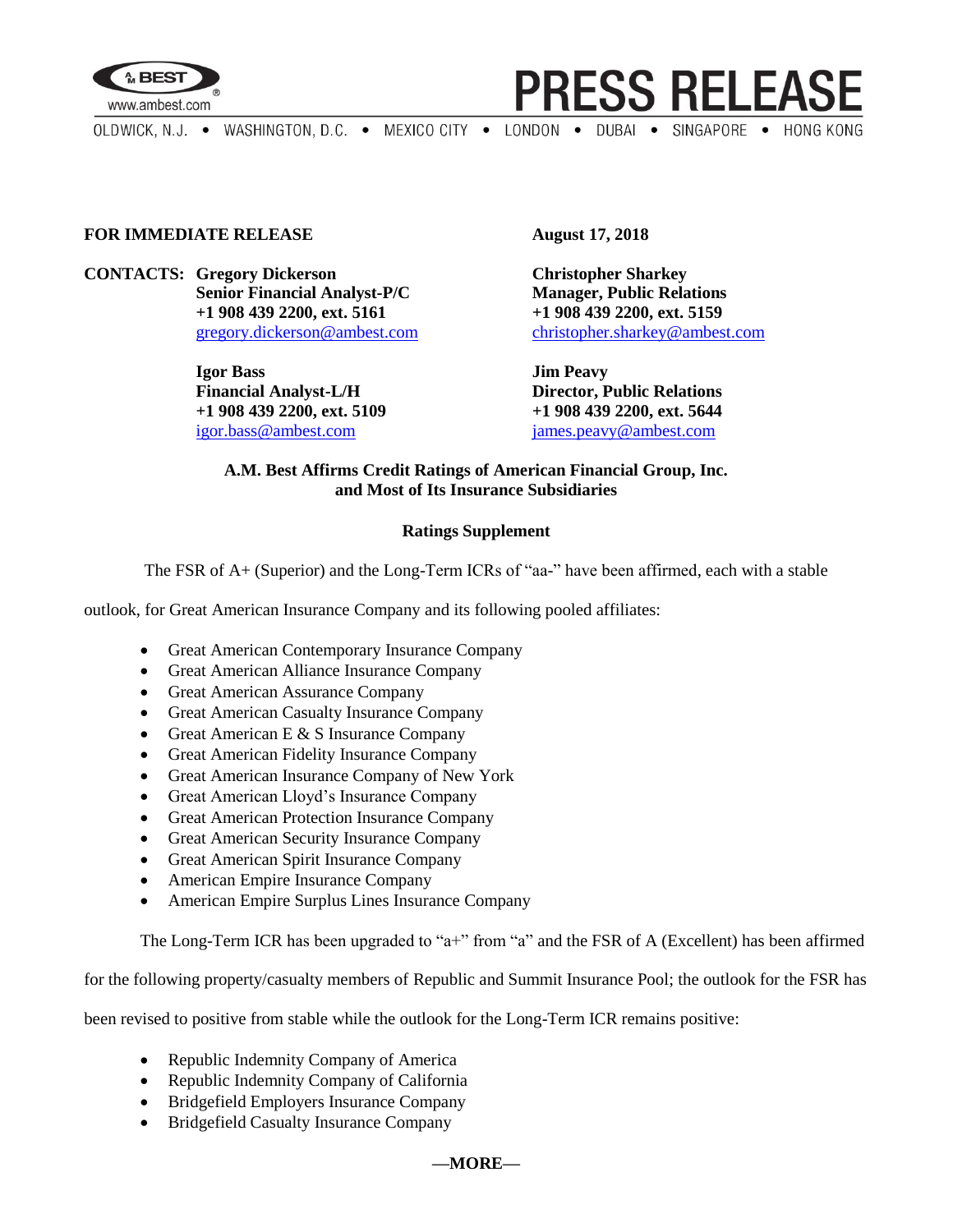

**PRESS RELEASE** 

OLDWICK, N.J. . WASHINGTON, D.C. . MEXICO CITY . LONDON . DUBAI . SINGAPORE . HONG KONG

## **FOR IMMEDIATE RELEASE August 17, 2018**

**CONTACTS: Gregory Dickerson Christopher Sharkey Senior Financial Analyst-P/C Manager, Public Relations +1 908 439 2200, ext. 5161 +1 908 439 2200, ext. 5159**

> **Igor Bass Jim Peavy Financial Analyst-L/H Director, Public Relations +1 908 439 2200, ext. 5109 +1 908 439 2200, ext. 5644** [igor.bass@ambest.com](mailto:igor.bass@ambest.com) [james.peavy@ambest.com](mailto:james.peavy@ambest.com)

[gregory.dickerson@ambest.com](mailto:gregory.dickerson@ambest.com) [christopher.sharkey@ambest.com](mailto:christopher.sharkey@ambest.com)

## **A.M. Best Affirms Credit Ratings of American Financial Group, Inc. and Most of Its Insurance Subsidiaries**

## **Ratings Supplement**

The FSR of A+ (Superior) and the Long-Term ICRs of "aa-" have been affirmed, each with a stable

outlook, for Great American Insurance Company and its following pooled affiliates:

- Great American Contemporary Insurance Company
- Great American Alliance Insurance Company
- Great American Assurance Company
- Great American Casualty Insurance Company
- Great American E  $&$  S Insurance Company
- Great American Fidelity Insurance Company
- Great American Insurance Company of New York
- Great American Lloyd's Insurance Company
- Great American Protection Insurance Company
- Great American Security Insurance Company
- Great American Spirit Insurance Company
- American Empire Insurance Company
- American Empire Surplus Lines Insurance Company

The Long-Term ICR has been upgraded to "a+" from "a" and the FSR of A (Excellent) has been affirmed

for the following property/casualty members of Republic and Summit Insurance Pool; the outlook for the FSR has

been revised to positive from stable while the outlook for the Long-Term ICR remains positive:

- Republic Indemnity Company of America
- Republic Indemnity Company of California
- Bridgefield Employers Insurance Company
- Bridgefield Casualty Insurance Company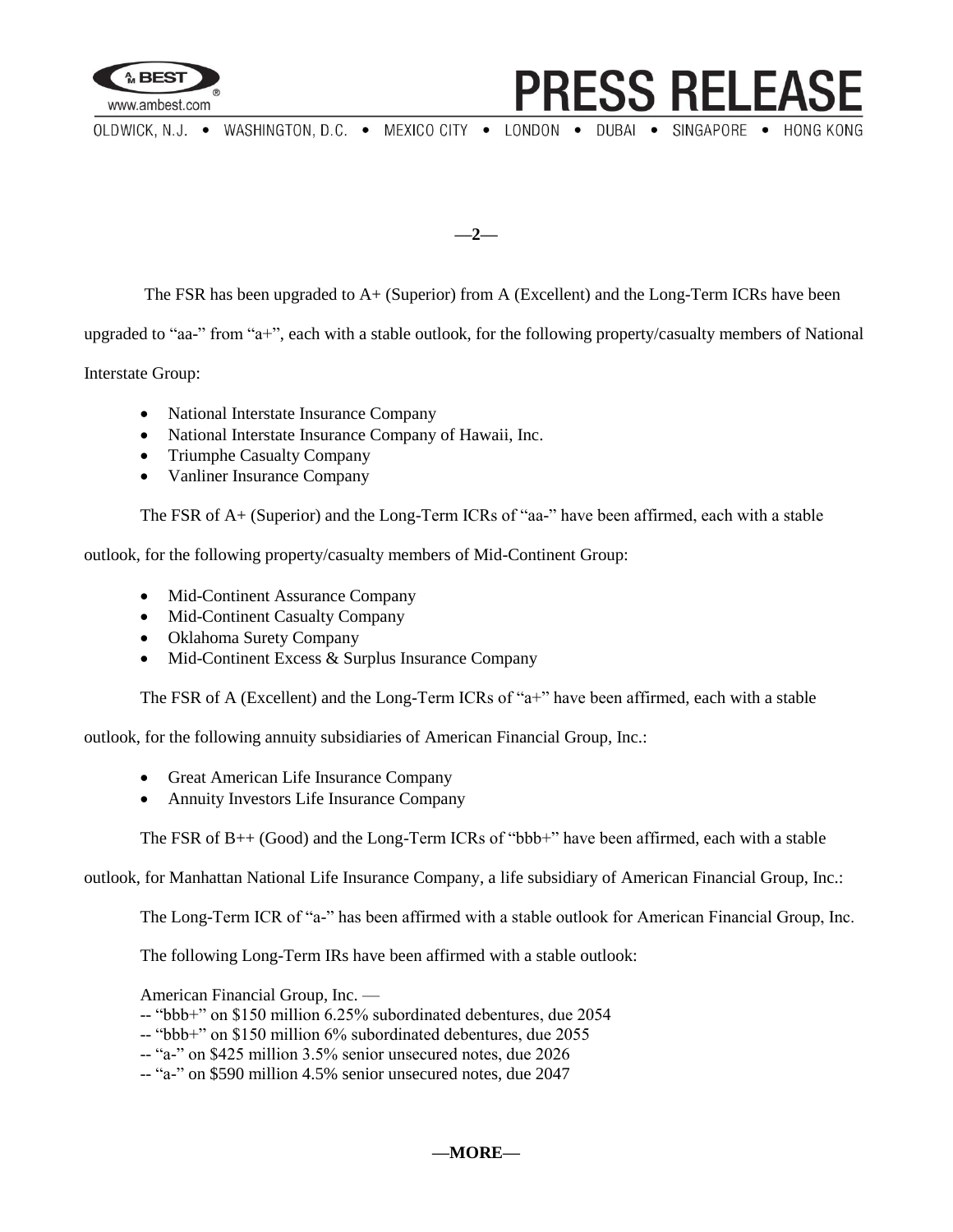

**PRESS RELEAS** 

OLDWICK, N.J. . WASHINGTON, D.C. . MEXICO CITY . LONDON . DUBAI . SINGAPORE . HONG KONG

**—2—**

The FSR has been upgraded to A+ (Superior) from A (Excellent) and the Long-Term ICRs have been

upgraded to "aa-" from "a+", each with a stable outlook, for the following property/casualty members of National

Interstate Group:

- National Interstate Insurance Company
- National Interstate Insurance Company of Hawaii, Inc.
- Triumphe Casualty Company
- Vanliner Insurance Company

The FSR of A+ (Superior) and the Long-Term ICRs of "aa-" have been affirmed, each with a stable

outlook, for the following property/casualty members of Mid-Continent Group:

- Mid-Continent Assurance Company
- Mid-Continent Casualty Company
- Oklahoma Surety Company
- Mid-Continent Excess & Surplus Insurance Company

The FSR of A (Excellent) and the Long-Term ICRs of "a+" have been affirmed, each with a stable

outlook, for the following annuity subsidiaries of American Financial Group, Inc.:

- Great American Life Insurance Company
- Annuity Investors Life Insurance Company

The FSR of B++ (Good) and the Long-Term ICRs of "bbb+" have been affirmed, each with a stable

outlook, for Manhattan National Life Insurance Company, a life subsidiary of American Financial Group, Inc.:

The Long-Term ICR of "a-" has been affirmed with a stable outlook for American Financial Group, Inc.

The following Long-Term IRs have been affirmed with a stable outlook:

American Financial Group, Inc. —

- -- "bbb+" on \$150 million 6.25% subordinated debentures, due 2054
- -- "bbb+" on \$150 million 6% subordinated debentures, due 2055
- -- "a-" on \$425 million 3.5% senior unsecured notes, due 2026
- -- "a-" on \$590 million 4.5% senior unsecured notes, due 2047